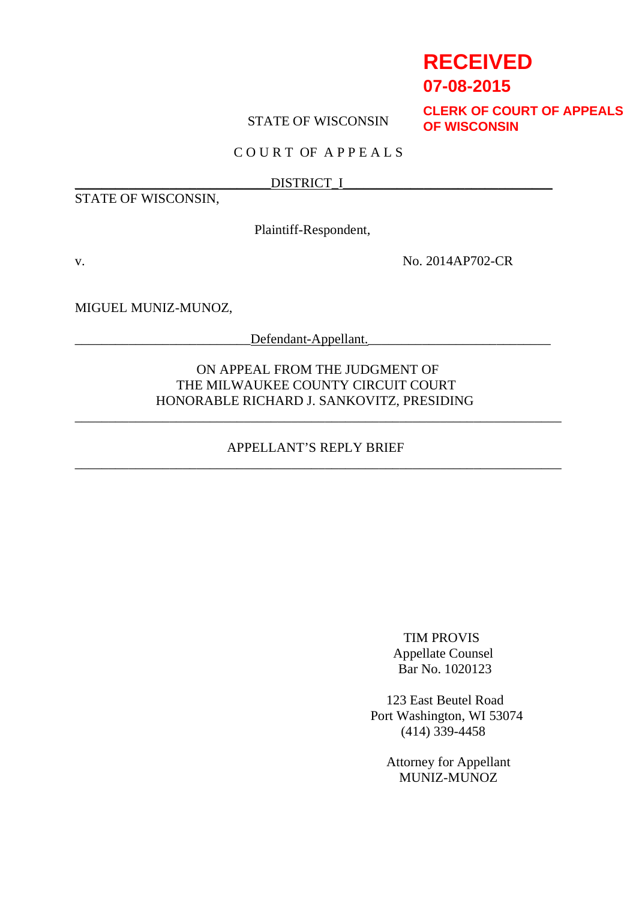# **RECEIVED**

## **07-08-2015**

## STATE OF WISCONSIN

**CLERK OF COURT OF APPEALS OF WISCONSIN**

## C O U R T OF A P P E A L S

#### \_\_\_\_\_\_\_\_\_\_\_\_\_\_\_\_\_\_\_\_\_\_\_\_\_\_\_\_\_DISTRICT\_I\_\_\_\_\_\_\_\_\_\_\_\_\_\_\_\_\_\_\_\_\_\_\_\_\_\_\_\_\_\_\_

STATE OF WISCONSIN,

Plaintiff-Respondent,

v. No. 2014AP702-CR

MIGUEL MUNIZ-MUNOZ,

 $Defendant-Appellant.$ 

ON APPEAL FROM THE JUDGMENT OF THE MILWAUKEE COUNTY CIRCUIT COURT HONORABLE RICHARD J. SANKOVITZ, PRESIDING

## APPELLANT'S REPLY BRIEF \_\_\_\_\_\_\_\_\_\_\_\_\_\_\_\_\_\_\_\_\_\_\_\_\_\_\_\_\_\_\_\_\_\_\_\_\_\_\_\_\_\_\_\_\_\_\_\_\_\_\_\_\_\_\_\_\_\_\_\_\_\_\_\_\_\_\_\_\_\_\_\_

\_\_\_\_\_\_\_\_\_\_\_\_\_\_\_\_\_\_\_\_\_\_\_\_\_\_\_\_\_\_\_\_\_\_\_\_\_\_\_\_\_\_\_\_\_\_\_\_\_\_\_\_\_\_\_\_\_\_\_\_\_\_\_\_\_\_\_\_\_\_\_\_

TIM PROVIS Appellate Counsel Bar No. 1020123

123 East Beutel Road Port Washington, WI 53074 (414) 339-4458

> Attorney for Appellant MUNIZ-MUNOZ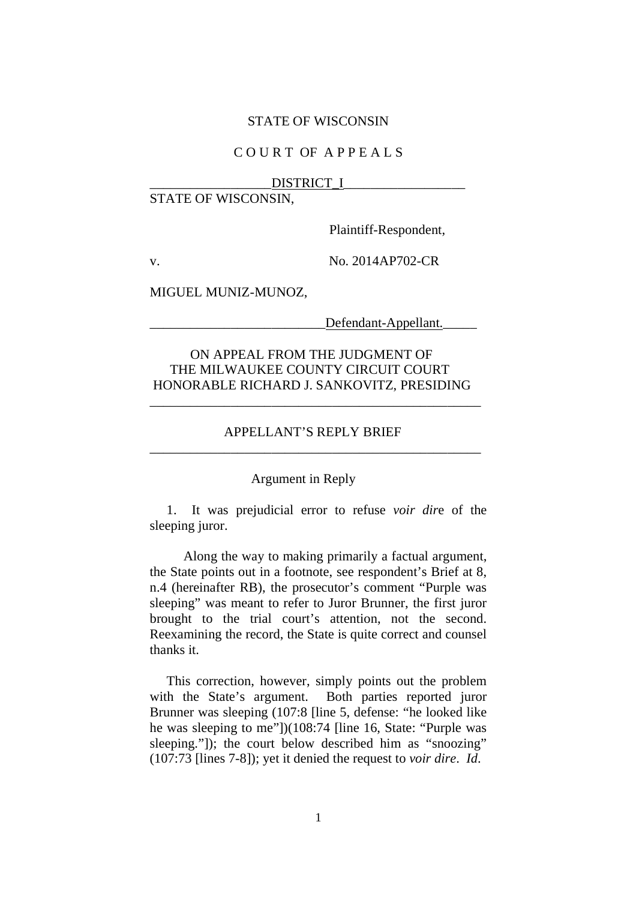#### STATE OF WISCONSIN

## C O U R T OF A P P E A L S

#### DISTRICT\_I

## STATE OF WISCONSIN,

Plaintiff-Respondent,

v. No. 2014AP702-CR

MIGUEL MUNIZ-MUNOZ,

Defendant-Appellant.

## ON APPEAL FROM THE JUDGMENT OF THE MILWAUKEE COUNTY CIRCUIT COURT HONORABLE RICHARD J. SANKOVITZ, PRESIDING

## APPELLANT'S REPLY BRIEF \_\_\_\_\_\_\_\_\_\_\_\_\_\_\_\_\_\_\_\_\_\_\_\_\_\_\_\_\_\_\_\_\_\_\_\_\_\_\_\_\_\_\_\_\_\_\_\_\_

\_\_\_\_\_\_\_\_\_\_\_\_\_\_\_\_\_\_\_\_\_\_\_\_\_\_\_\_\_\_\_\_\_\_\_\_\_\_\_\_\_\_\_\_\_\_\_\_\_

#### Argument in Reply

1. It was prejudicial error to refuse *voir dir*e of the sleeping juror.

Along the way to making primarily a factual argument, the State points out in a footnote, see respondent's Brief at 8, n.4 (hereinafter RB), the prosecutor's comment "Purple was sleeping" was meant to refer to Juror Brunner, the first juror brought to the trial court's attention, not the second. Reexamining the record, the State is quite correct and counsel thanks it.

This correction, however, simply points out the problem with the State's argument. Both parties reported juror Brunner was sleeping (107:8 [line 5, defense: "he looked like he was sleeping to me"])(108:74 [line 16, State: "Purple was sleeping."]); the court below described him as "snoozing" (107:73 [lines 7-8]); yet it denied the request to *voir dire*. *Id*.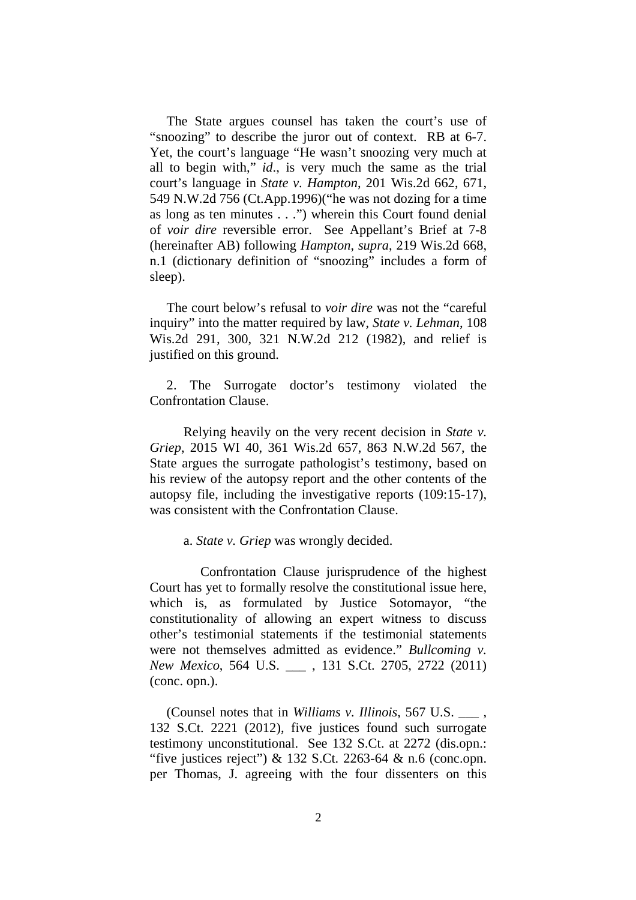The State argues counsel has taken the court's use of "snoozing" to describe the juror out of context. RB at 6-7. Yet, the court's language "He wasn't snoozing very much at all to begin with," *id*., is very much the same as the trial court's language in *State v. Hampton*, 201 Wis.2d 662, 671, 549 N.W.2d 756 (Ct.App.1996)("he was not dozing for a time as long as ten minutes . . .") wherein this Court found denial of *voir dire* reversible error. See Appellant's Brief at 7-8 (hereinafter AB) following *Hampton*, *supra*, 219 Wis.2d 668, n.1 (dictionary definition of "snoozing" includes a form of sleep).

The court below's refusal to *voir dire* was not the "careful inquiry" into the matter required by law, *State v. Lehman*, 108 Wis.2d 291, 300, 321 N.W.2d 212 (1982), and relief is justified on this ground.

2. The Surrogate doctor's testimony violated the Confrontation Clause.

Relying heavily on the very recent decision in *State v. Griep*, 2015 WI 40, 361 Wis.2d 657, 863 N.W.2d 567, the State argues the surrogate pathologist's testimony, based on his review of the autopsy report and the other contents of the autopsy file, including the investigative reports (109:15-17), was consistent with the Confrontation Clause.

#### a. *State v. Griep* was wrongly decided.

Confrontation Clause jurisprudence of the highest Court has yet to formally resolve the constitutional issue here, which is, as formulated by Justice Sotomayor, "the constitutionality of allowing an expert witness to discuss other's testimonial statements if the testimonial statements were not themselves admitted as evidence." *Bullcoming v. New Mexico*, 564 U.S. \_\_\_ , 131 S.Ct. 2705, 2722 (2011) (conc. opn.).

(Counsel notes that in *Williams v. Illinois*, 567 U.S. \_\_\_ , 132 S.Ct. 2221 (2012), five justices found such surrogate testimony unconstitutional. See 132 S.Ct. at 2272 (dis.opn.: "five justices reject")  $& 132$  S.Ct. 2263-64  $& n.6$  (conc.opn.) per Thomas, J. agreeing with the four dissenters on this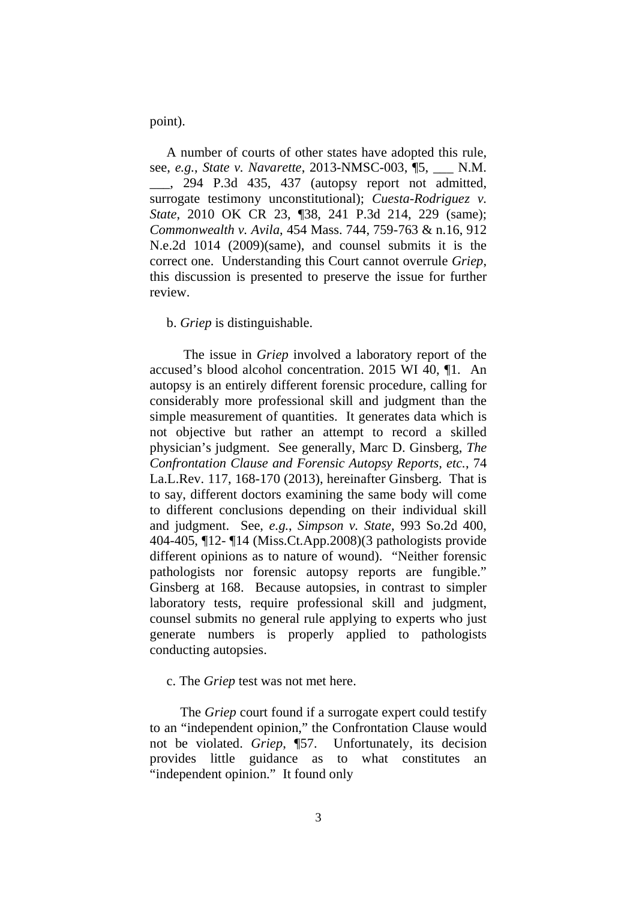point).

A number of courts of other states have adopted this rule, see, *e.g.*, *State v. Navarette*, 2013-NMSC-003, ¶5, \_\_\_ N.M. \_\_\_, 294 P.3d 435, 437 (autopsy report not admitted, surrogate testimony unconstitutional); *Cuesta-Rodriguez v. State*, 2010 OK CR 23, ¶38, 241 P.3d 214, 229 (same); *Commonwealth v. Avila*, 454 Mass. 744, 759-763 & n.16, 912 N.e.2d 1014 (2009)(same), and counsel submits it is the correct one. Understanding this Court cannot overrule *Griep*, this discussion is presented to preserve the issue for further review.

b. *Griep* is distinguishable.

The issue in *Griep* involved a laboratory report of the accused's blood alcohol concentration. 2015 WI 40, ¶1. An autopsy is an entirely different forensic procedure, calling for considerably more professional skill and judgment than the simple measurement of quantities. It generates data which is not objective but rather an attempt to record a skilled physician's judgment. See generally, Marc D. Ginsberg, *The Confrontation Clause and Forensic Autopsy Reports, etc.*, 74 La.L.Rev. 117, 168-170 (2013), hereinafter Ginsberg. That is to say, different doctors examining the same body will come to different conclusions depending on their individual skill and judgment. See, *e.g.*, *Simpson v. State*, 993 So.2d 400, 404-405, ¶12- ¶14 (Miss.Ct.App.2008)(3 pathologists provide different opinions as to nature of wound). "Neither forensic pathologists nor forensic autopsy reports are fungible." Ginsberg at 168. Because autopsies, in contrast to simpler laboratory tests, require professional skill and judgment, counsel submits no general rule applying to experts who just generate numbers is properly applied to pathologists conducting autopsies.

c. The *Griep* test was not met here.

The *Griep* court found if a surrogate expert could testify to an "independent opinion," the Confrontation Clause would not be violated. *Griep*, ¶57. Unfortunately, its decision provides little guidance as to what constitutes an "independent opinion." It found only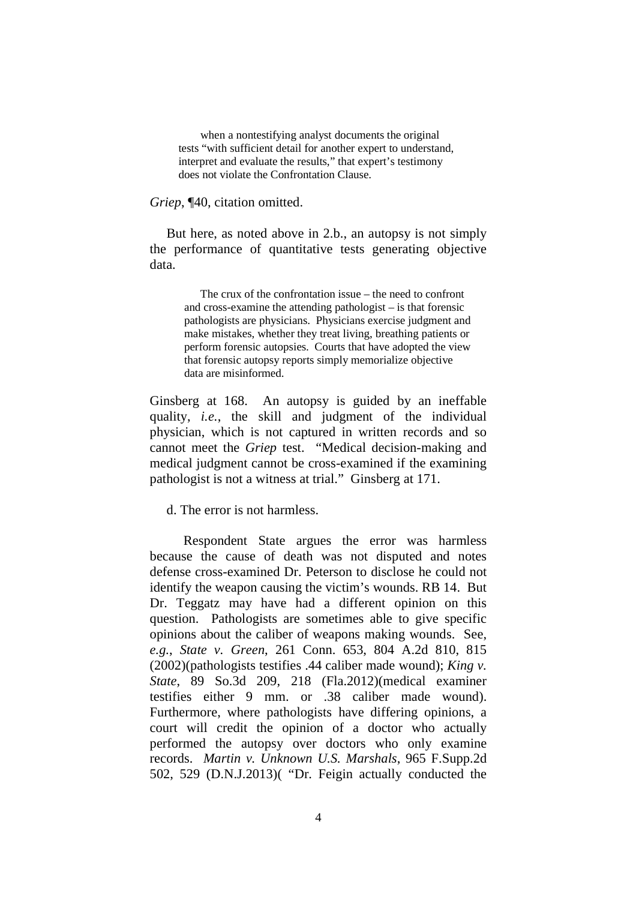when a nontestifying analyst documents the original tests "with sufficient detail for another expert to understand, interpret and evaluate the results," that expert's testimony does not violate the Confrontation Clause.

*Griep*, ¶40, citation omitted.

But here, as noted above in 2.b., an autopsy is not simply the performance of quantitative tests generating objective data.

> The crux of the confrontation issue – the need to confront and cross-examine the attending pathologist – is that forensic pathologists are physicians. Physicians exercise judgment and make mistakes, whether they treat living, breathing patients or perform forensic autopsies. Courts that have adopted the view that forensic autopsy reports simply memorialize objective data are misinformed.

Ginsberg at 168. An autopsy is guided by an ineffable quality, *i.e.*, the skill and judgment of the individual physician, which is not captured in written records and so cannot meet the *Griep* test. "Medical decision-making and medical judgment cannot be cross-examined if the examining pathologist is not a witness at trial." Ginsberg at 171.

d. The error is not harmless.

Respondent State argues the error was harmless because the cause of death was not disputed and notes defense cross-examined Dr. Peterson to disclose he could not identify the weapon causing the victim's wounds. RB 14. But Dr. Teggatz may have had a different opinion on this question. Pathologists are sometimes able to give specific opinions about the caliber of weapons making wounds. See, *e.g.*, *State v. Green*, 261 Conn. 653, 804 A.2d 810, 815 (2002)(pathologists testifies .44 caliber made wound); *King v. State*, 89 So.3d 209, 218 (Fla.2012)(medical examiner testifies either 9 mm. or .38 caliber made wound). Furthermore, where pathologists have differing opinions, a court will credit the opinion of a doctor who actually performed the autopsy over doctors who only examine records. *Martin v. Unknown U.S. Marshals*, 965 F.Supp.2d 502, 529 (D.N.J.2013)( "Dr. Feigin actually conducted the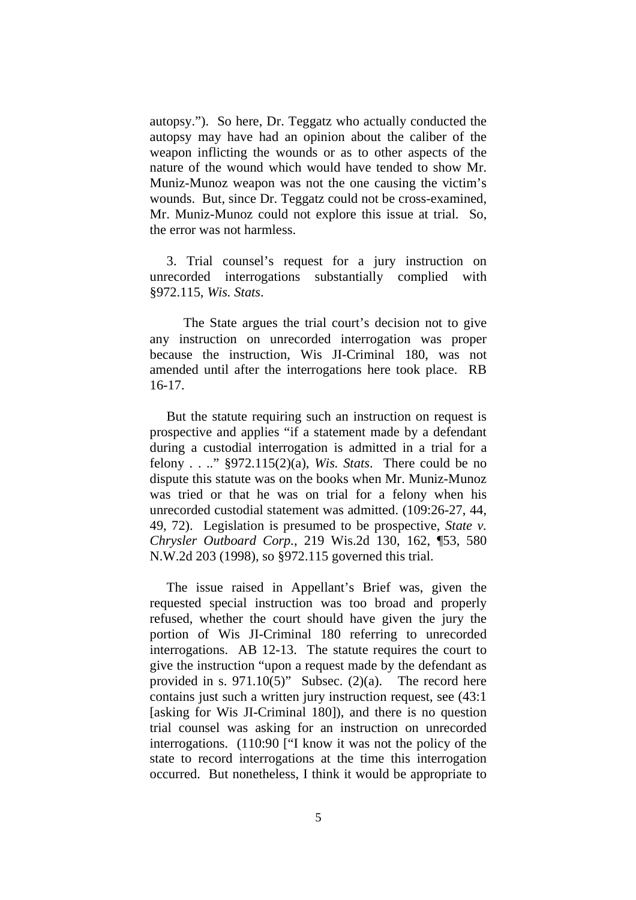autopsy."). So here, Dr. Teggatz who actually conducted the autopsy may have had an opinion about the caliber of the weapon inflicting the wounds or as to other aspects of the nature of the wound which would have tended to show Mr. Muniz-Munoz weapon was not the one causing the victim's wounds. But, since Dr. Teggatz could not be cross-examined, Mr. Muniz-Munoz could not explore this issue at trial. So, the error was not harmless.

3. Trial counsel's request for a jury instruction on unrecorded interrogations substantially complied with §972.115, *Wis. Stats*.

The State argues the trial court's decision not to give any instruction on unrecorded interrogation was proper because the instruction, Wis JI-Criminal 180, was not amended until after the interrogations here took place. RB 16-17.

But the statute requiring such an instruction on request is prospective and applies "if a statement made by a defendant during a custodial interrogation is admitted in a trial for a felony . . .." §972.115(2)(a), *Wis. Stats*. There could be no dispute this statute was on the books when Mr. Muniz-Munoz was tried or that he was on trial for a felony when his unrecorded custodial statement was admitted. (109:26-27, 44, 49, 72). Legislation is presumed to be prospective, *State v. Chrysler Outboard Corp.*, 219 Wis.2d 130, 162, ¶53, 580 N.W.2d 203 (1998), so §972.115 governed this trial.

The issue raised in Appellant's Brief was, given the requested special instruction was too broad and properly refused, whether the court should have given the jury the portion of Wis JI-Criminal 180 referring to unrecorded interrogations. AB 12-13. The statute requires the court to give the instruction "upon a request made by the defendant as provided in s.  $971.10(5)$ " Subsec. (2)(a). The record here contains just such a written jury instruction request, see (43:1 [asking for Wis JI-Criminal 180]), and there is no question trial counsel was asking for an instruction on unrecorded interrogations. (110:90 ["I know it was not the policy of the state to record interrogations at the time this interrogation occurred. But nonetheless, I think it would be appropriate to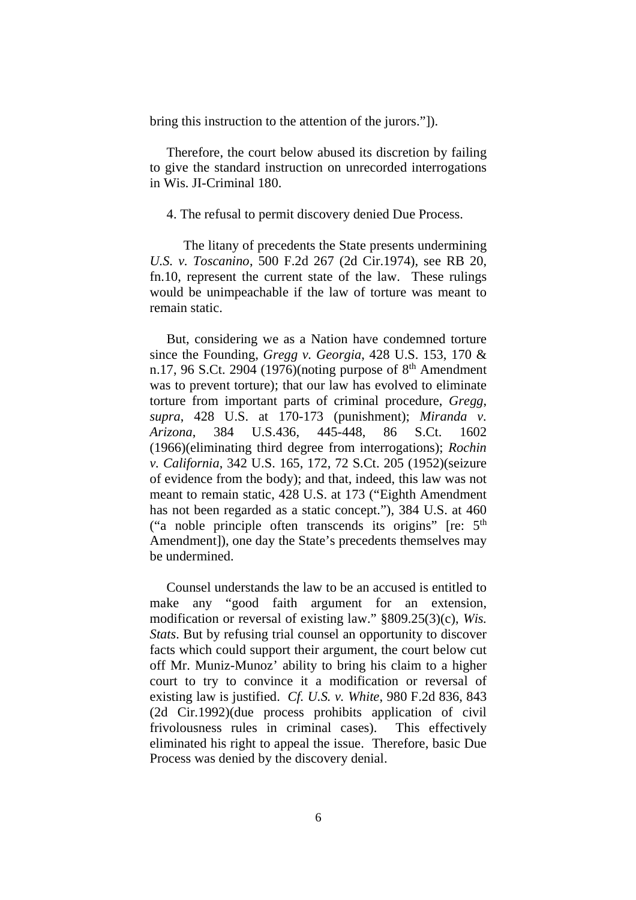bring this instruction to the attention of the jurors."]).

Therefore, the court below abused its discretion by failing to give the standard instruction on unrecorded interrogations in Wis. JI-Criminal 180.

#### 4. The refusal to permit discovery denied Due Process.

The litany of precedents the State presents undermining *U.S. v. Toscanino*, 500 F.2d 267 (2d Cir.1974), see RB 20, fn.10, represent the current state of the law. These rulings would be unimpeachable if the law of torture was meant to remain static.

But, considering we as a Nation have condemned torture since the Founding, *Gregg v. Georgia*, 428 U.S. 153, 170 & n.17, 96 S.Ct. 2904 (1976)(noting purpose of  $8<sup>th</sup>$  Amendment was to prevent torture); that our law has evolved to eliminate torture from important parts of criminal procedure, *Gregg*, *supra*, 428 U.S. at 170-173 (punishment); *Miranda v. Arizona*, 384 U.S.436, 445-448, 86 S.Ct. 1602 (1966)(eliminating third degree from interrogations); *Rochin v. California*, 342 U.S. 165, 172, 72 S.Ct. 205 (1952)(seizure of evidence from the body); and that, indeed, this law was not meant to remain static, 428 U.S. at 173 ("Eighth Amendment has not been regarded as a static concept."), 384 U.S. at 460 ("a noble principle often transcends its origins" [re:  $5<sup>th</sup>$ Amendment]), one day the State's precedents themselves may be undermined.

Counsel understands the law to be an accused is entitled to make any "good faith argument for an extension, modification or reversal of existing law." §809.25(3)(c), *Wis. Stats*. But by refusing trial counsel an opportunity to discover facts which could support their argument, the court below cut off Mr. Muniz-Munoz' ability to bring his claim to a higher court to try to convince it a modification or reversal of existing law is justified. *Cf. U.S. v. White*, 980 F.2d 836, 843 (2d Cir.1992)(due process prohibits application of civil frivolousness rules in criminal cases). This effectively eliminated his right to appeal the issue. Therefore, basic Due Process was denied by the discovery denial.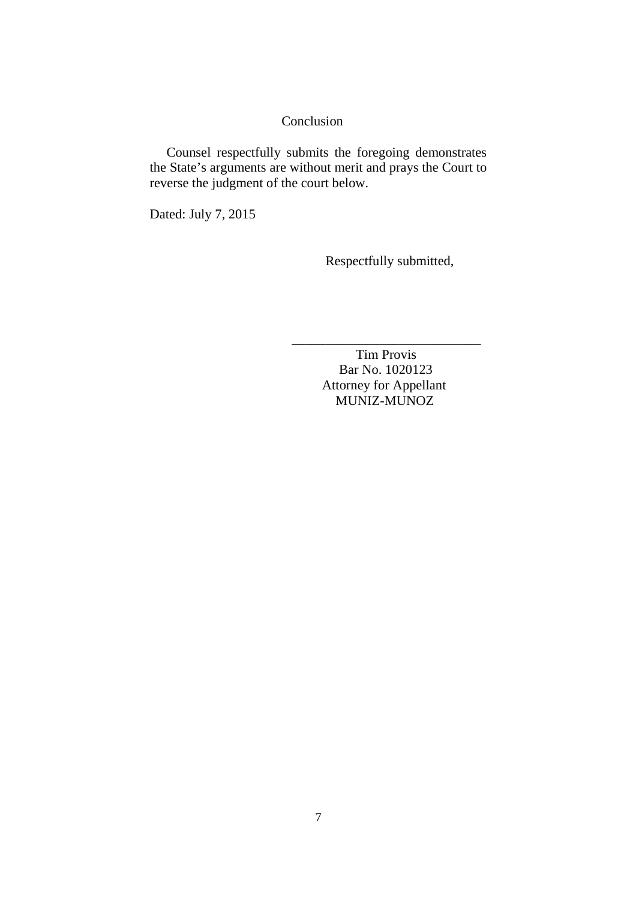## Conclusion

Counsel respectfully submits the foregoing demonstrates the State's arguments are without merit and prays the Court to reverse the judgment of the court below.

Dated: July 7, 2015

Respectfully submitted,

Tim Provis Bar No. 1020123 Attorney for Appellant MUNIZ-MUNOZ

\_\_\_\_\_\_\_\_\_\_\_\_\_\_\_\_\_\_\_\_\_\_\_\_\_\_\_\_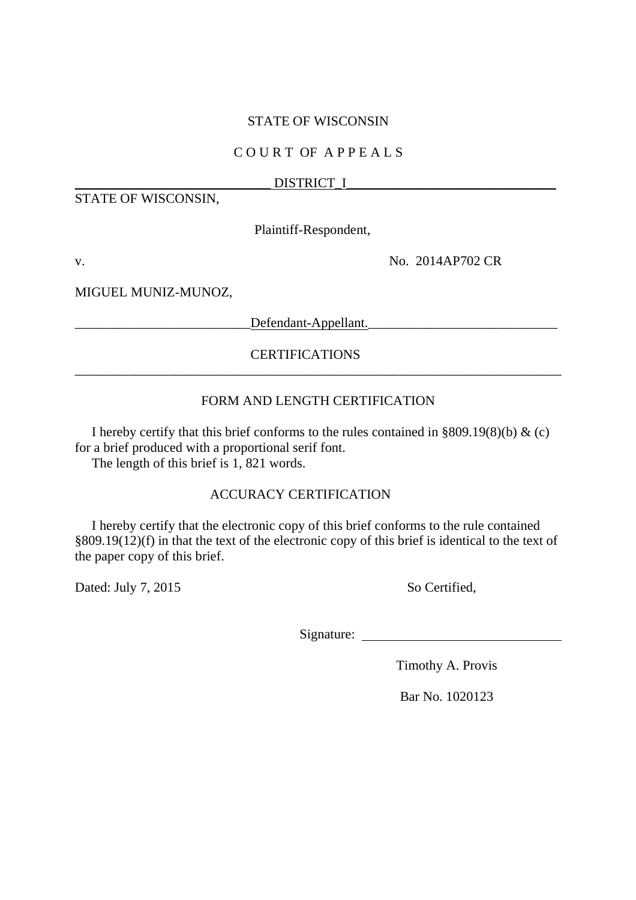## STATE OF WISCONSIN

## C O U R T OF A P P E A L S

## \_\_\_\_\_\_\_\_\_\_\_\_\_\_\_\_\_\_\_\_\_\_\_\_\_\_\_\_\_ DISTRICT\_I\_\_\_\_\_\_\_\_\_\_\_\_\_\_\_\_\_\_\_\_\_\_\_\_\_\_\_\_\_\_\_

STATE OF WISCONSIN,

Plaintiff-Respondent,

v. No. 2014AP702 CR

MIGUEL MUNIZ-MUNOZ,

and the Defendant-Appellant.

## CERTIFICATIONS

## FORM AND LENGTH CERTIFICATION

\_\_\_\_\_\_\_\_\_\_\_\_\_\_\_\_\_\_\_\_\_\_\_\_\_\_\_\_\_\_\_\_\_\_\_\_\_\_\_\_\_\_\_\_\_\_\_\_\_\_\_\_\_\_\_\_\_\_\_\_\_\_\_\_\_\_\_\_\_\_\_\_

I hereby certify that this brief conforms to the rules contained in  $\S 809.19(8)(b)$  & (c) for a brief produced with a proportional serif font.

The length of this brief is 1, 821 words.

## ACCURACY CERTIFICATION

I hereby certify that the electronic copy of this brief conforms to the rule contained §809.19(12)(f) in that the text of the electronic copy of this brief is identical to the text of the paper copy of this brief.

Dated: July 7, 2015 So Certified,

Signature:

Timothy A. Provis

Bar No. 1020123